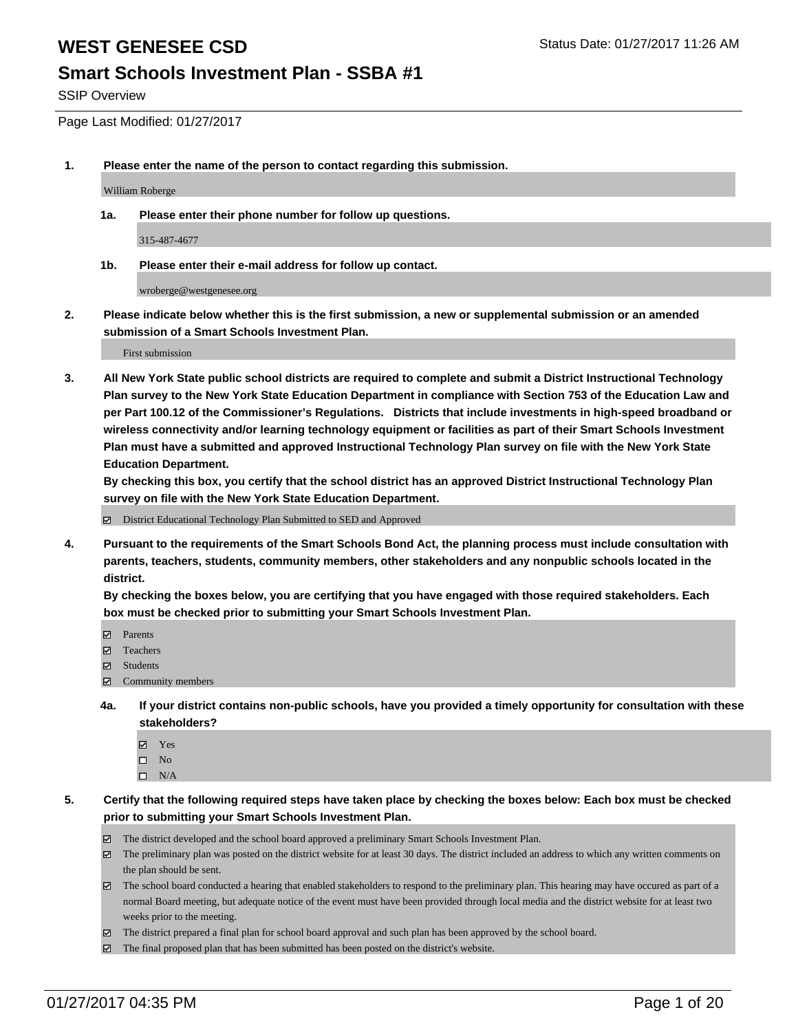### **Smart Schools Investment Plan - SSBA #1**

SSIP Overview

Page Last Modified: 01/27/2017

**1. Please enter the name of the person to contact regarding this submission.**

William Roberge

**1a. Please enter their phone number for follow up questions.**

315-487-4677

**1b. Please enter their e-mail address for follow up contact.**

wroberge@westgenesee.org

**2. Please indicate below whether this is the first submission, a new or supplemental submission or an amended submission of a Smart Schools Investment Plan.**

First submission

**3. All New York State public school districts are required to complete and submit a District Instructional Technology Plan survey to the New York State Education Department in compliance with Section 753 of the Education Law and per Part 100.12 of the Commissioner's Regulations. Districts that include investments in high-speed broadband or wireless connectivity and/or learning technology equipment or facilities as part of their Smart Schools Investment Plan must have a submitted and approved Instructional Technology Plan survey on file with the New York State Education Department.** 

**By checking this box, you certify that the school district has an approved District Instructional Technology Plan survey on file with the New York State Education Department.**

District Educational Technology Plan Submitted to SED and Approved

**4. Pursuant to the requirements of the Smart Schools Bond Act, the planning process must include consultation with parents, teachers, students, community members, other stakeholders and any nonpublic schools located in the district.** 

**By checking the boxes below, you are certifying that you have engaged with those required stakeholders. Each box must be checked prior to submitting your Smart Schools Investment Plan.**

- **Parents**
- Teachers
- **冈** Students
- Community members
- **4a. If your district contains non-public schools, have you provided a timely opportunity for consultation with these stakeholders?**
	- Yes
	- $\square$  No
	- $\square$  N/A

**5. Certify that the following required steps have taken place by checking the boxes below: Each box must be checked prior to submitting your Smart Schools Investment Plan.**

- The district developed and the school board approved a preliminary Smart Schools Investment Plan.
- The preliminary plan was posted on the district website for at least 30 days. The district included an address to which any written comments on the plan should be sent.
- The school board conducted a hearing that enabled stakeholders to respond to the preliminary plan. This hearing may have occured as part of a normal Board meeting, but adequate notice of the event must have been provided through local media and the district website for at least two weeks prior to the meeting.
- The district prepared a final plan for school board approval and such plan has been approved by the school board.
- $\boxtimes$  The final proposed plan that has been submitted has been posted on the district's website.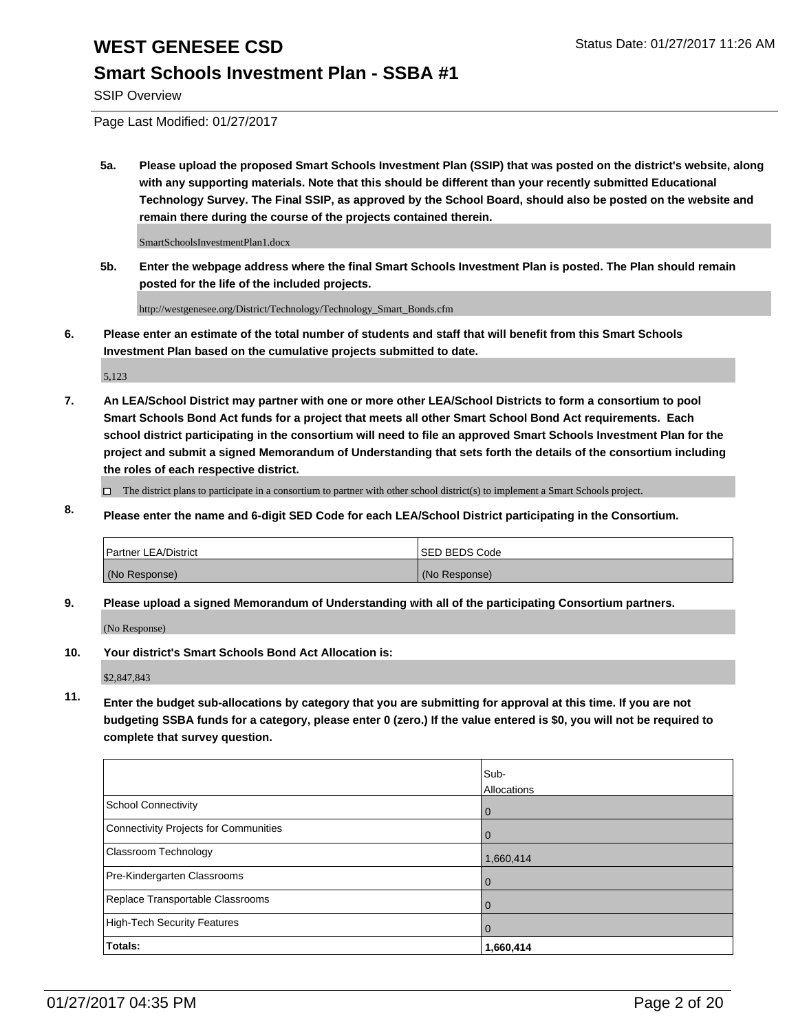### **Smart Schools Investment Plan - SSBA #1**

SSIP Overview

Page Last Modified: 01/27/2017

**5a. Please upload the proposed Smart Schools Investment Plan (SSIP) that was posted on the district's website, along with any supporting materials. Note that this should be different than your recently submitted Educational Technology Survey. The Final SSIP, as approved by the School Board, should also be posted on the website and remain there during the course of the projects contained therein.**

SmartSchoolsInvestmentPlan1.docx

**5b. Enter the webpage address where the final Smart Schools Investment Plan is posted. The Plan should remain posted for the life of the included projects.**

http://westgenesee.org/District/Technology/Technology\_Smart\_Bonds.cfm

**6. Please enter an estimate of the total number of students and staff that will benefit from this Smart Schools Investment Plan based on the cumulative projects submitted to date.**

5,123

- **7. An LEA/School District may partner with one or more other LEA/School Districts to form a consortium to pool Smart Schools Bond Act funds for a project that meets all other Smart School Bond Act requirements. Each school district participating in the consortium will need to file an approved Smart Schools Investment Plan for the project and submit a signed Memorandum of Understanding that sets forth the details of the consortium including the roles of each respective district.**
	- $\Box$  The district plans to participate in a consortium to partner with other school district(s) to implement a Smart Schools project.
- **8. Please enter the name and 6-digit SED Code for each LEA/School District participating in the Consortium.**

| <b>Partner LEA/District</b> | <b>ISED BEDS Code</b> |
|-----------------------------|-----------------------|
| (No Response)               | (No Response)         |

**9. Please upload a signed Memorandum of Understanding with all of the participating Consortium partners.**

(No Response)

**10. Your district's Smart Schools Bond Act Allocation is:**

\$2,847,843

**11. Enter the budget sub-allocations by category that you are submitting for approval at this time. If you are not budgeting SSBA funds for a category, please enter 0 (zero.) If the value entered is \$0, you will not be required to complete that survey question.**

|                                       | Sub-        |
|---------------------------------------|-------------|
|                                       | Allocations |
| <b>School Connectivity</b>            | O           |
| Connectivity Projects for Communities |             |
| Classroom Technology                  | 1,660,414   |
| Pre-Kindergarten Classrooms           |             |
| Replace Transportable Classrooms      |             |
| High-Tech Security Features           | 0           |
| <b>Totals:</b>                        | 1,660,414   |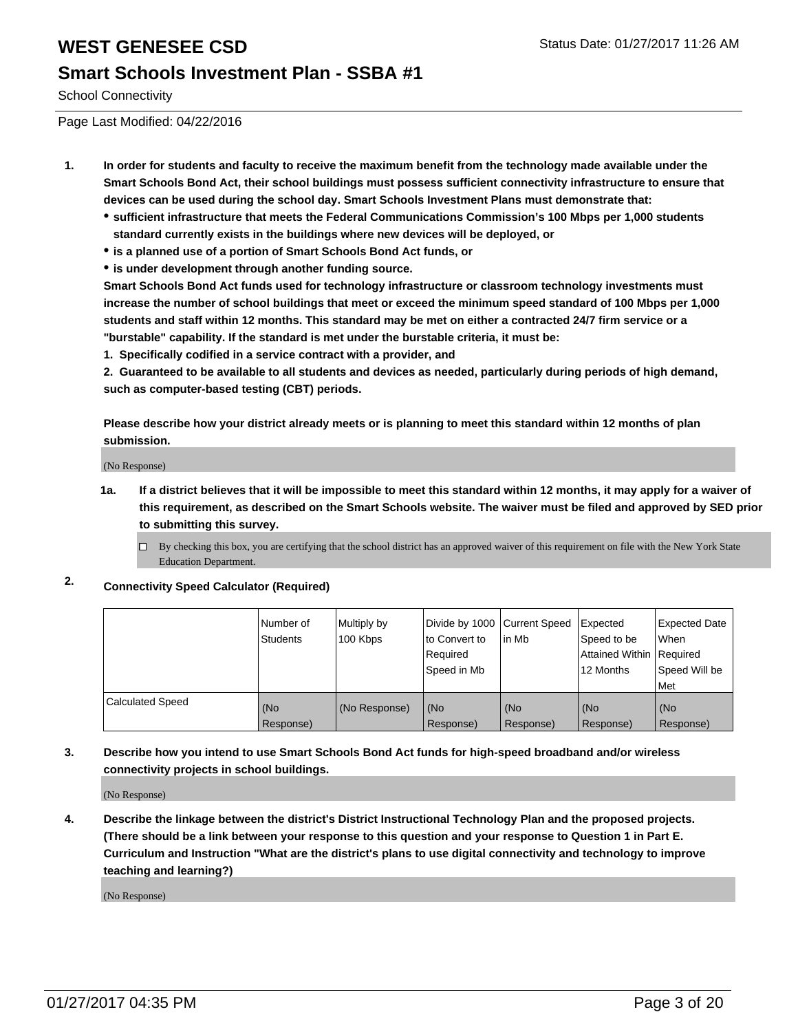### **Smart Schools Investment Plan - SSBA #1**

School Connectivity

Page Last Modified: 04/22/2016

- **1. In order for students and faculty to receive the maximum benefit from the technology made available under the Smart Schools Bond Act, their school buildings must possess sufficient connectivity infrastructure to ensure that devices can be used during the school day. Smart Schools Investment Plans must demonstrate that:**
	- **sufficient infrastructure that meets the Federal Communications Commission's 100 Mbps per 1,000 students standard currently exists in the buildings where new devices will be deployed, or**
	- **is a planned use of a portion of Smart Schools Bond Act funds, or**
	- **is under development through another funding source.**

**Smart Schools Bond Act funds used for technology infrastructure or classroom technology investments must increase the number of school buildings that meet or exceed the minimum speed standard of 100 Mbps per 1,000 students and staff within 12 months. This standard may be met on either a contracted 24/7 firm service or a "burstable" capability. If the standard is met under the burstable criteria, it must be:**

**1. Specifically codified in a service contract with a provider, and**

**2. Guaranteed to be available to all students and devices as needed, particularly during periods of high demand, such as computer-based testing (CBT) periods.**

**Please describe how your district already meets or is planning to meet this standard within 12 months of plan submission.**

(No Response)

**1a. If a district believes that it will be impossible to meet this standard within 12 months, it may apply for a waiver of this requirement, as described on the Smart Schools website. The waiver must be filed and approved by SED prior to submitting this survey.**

 $\Box$ By checking this box, you are certifying that the school district has an approved waiver of this requirement on file with the New York State Education Department.

**2. Connectivity Speed Calculator (Required)**

|                         | l Number of<br>Students | Multiply by<br>100 Kbps | Divide by 1000 Current Speed<br>to Convert to<br>Reauired<br>Speed in Mb | in Mb            | Expected<br>Speed to be<br>Attained Within   Required<br>12 Months | <b>Expected Date</b><br>l When<br>Speed Will be<br>Met |
|-------------------------|-------------------------|-------------------------|--------------------------------------------------------------------------|------------------|--------------------------------------------------------------------|--------------------------------------------------------|
| <b>Calculated Speed</b> | (No<br>Response)        | (No Response)           | (No<br>Response)                                                         | (No<br>Response) | (No<br>Response)                                                   | (No<br>Response)                                       |

**3. Describe how you intend to use Smart Schools Bond Act funds for high-speed broadband and/or wireless connectivity projects in school buildings.**

(No Response)

**4. Describe the linkage between the district's District Instructional Technology Plan and the proposed projects. (There should be a link between your response to this question and your response to Question 1 in Part E. Curriculum and Instruction "What are the district's plans to use digital connectivity and technology to improve teaching and learning?)**

(No Response)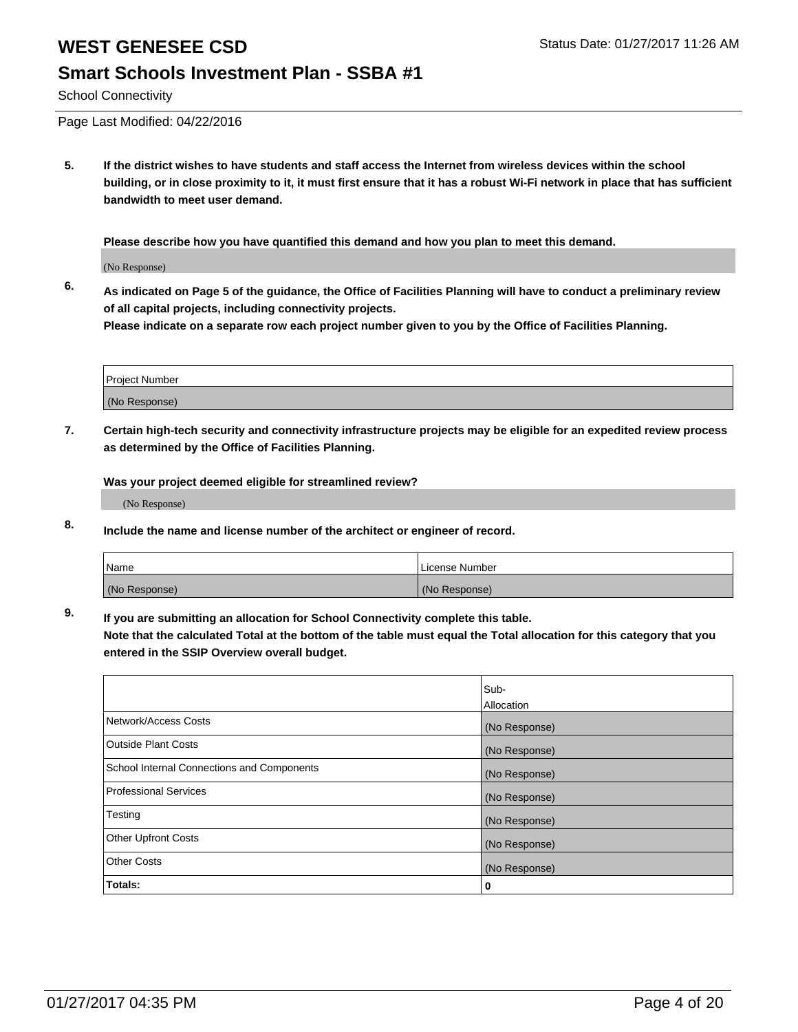#### School Connectivity

Page Last Modified: 04/22/2016

**5. If the district wishes to have students and staff access the Internet from wireless devices within the school building, or in close proximity to it, it must first ensure that it has a robust Wi-Fi network in place that has sufficient bandwidth to meet user demand.**

**Please describe how you have quantified this demand and how you plan to meet this demand.**

(No Response)

**6. As indicated on Page 5 of the guidance, the Office of Facilities Planning will have to conduct a preliminary review of all capital projects, including connectivity projects.**

**Please indicate on a separate row each project number given to you by the Office of Facilities Planning.**

| Project Number |  |
|----------------|--|
| (No Response)  |  |

**7. Certain high-tech security and connectivity infrastructure projects may be eligible for an expedited review process as determined by the Office of Facilities Planning.**

**Was your project deemed eligible for streamlined review?**

(No Response)

**8. Include the name and license number of the architect or engineer of record.**

| <b>Name</b>   | License Number |
|---------------|----------------|
| (No Response) | (No Response)  |

**9. If you are submitting an allocation for School Connectivity complete this table.**

**Note that the calculated Total at the bottom of the table must equal the Total allocation for this category that you entered in the SSIP Overview overall budget.** 

|                                            | Sub-          |
|--------------------------------------------|---------------|
|                                            | Allocation    |
| Network/Access Costs                       | (No Response) |
| <b>Outside Plant Costs</b>                 | (No Response) |
| School Internal Connections and Components | (No Response) |
| <b>Professional Services</b>               | (No Response) |
| Testing                                    | (No Response) |
| <b>Other Upfront Costs</b>                 | (No Response) |
| <b>Other Costs</b>                         | (No Response) |
| Totals:                                    | 0             |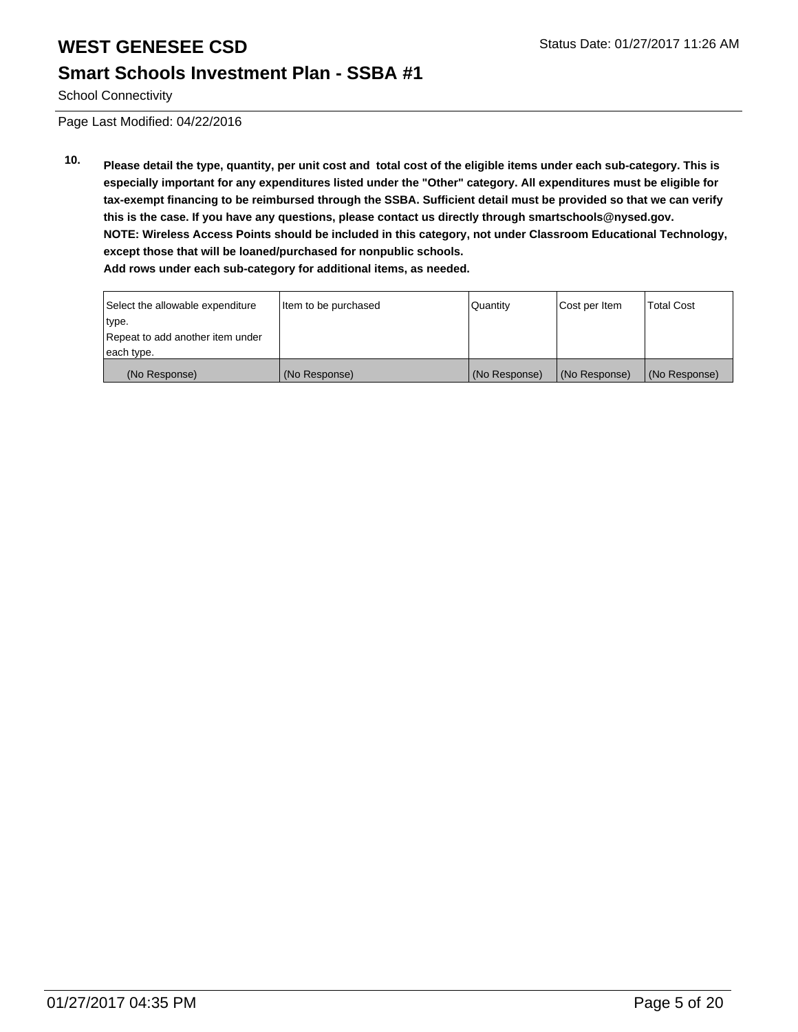### **Smart Schools Investment Plan - SSBA #1**

School Connectivity

Page Last Modified: 04/22/2016

**10. Please detail the type, quantity, per unit cost and total cost of the eligible items under each sub-category. This is especially important for any expenditures listed under the "Other" category. All expenditures must be eligible for tax-exempt financing to be reimbursed through the SSBA. Sufficient detail must be provided so that we can verify this is the case. If you have any questions, please contact us directly through smartschools@nysed.gov. NOTE: Wireless Access Points should be included in this category, not under Classroom Educational Technology, except those that will be loaned/purchased for nonpublic schools. Add rows under each sub-category for additional items, as needed.**

| Select the allowable expenditure | Item to be purchased | <b>Quantity</b> | Cost per Item | <b>Total Cost</b> |
|----------------------------------|----------------------|-----------------|---------------|-------------------|
| type.                            |                      |                 |               |                   |
| Repeat to add another item under |                      |                 |               |                   |
| each type.                       |                      |                 |               |                   |
| (No Response)                    | (No Response)        | (No Response)   | (No Response) | (No Response)     |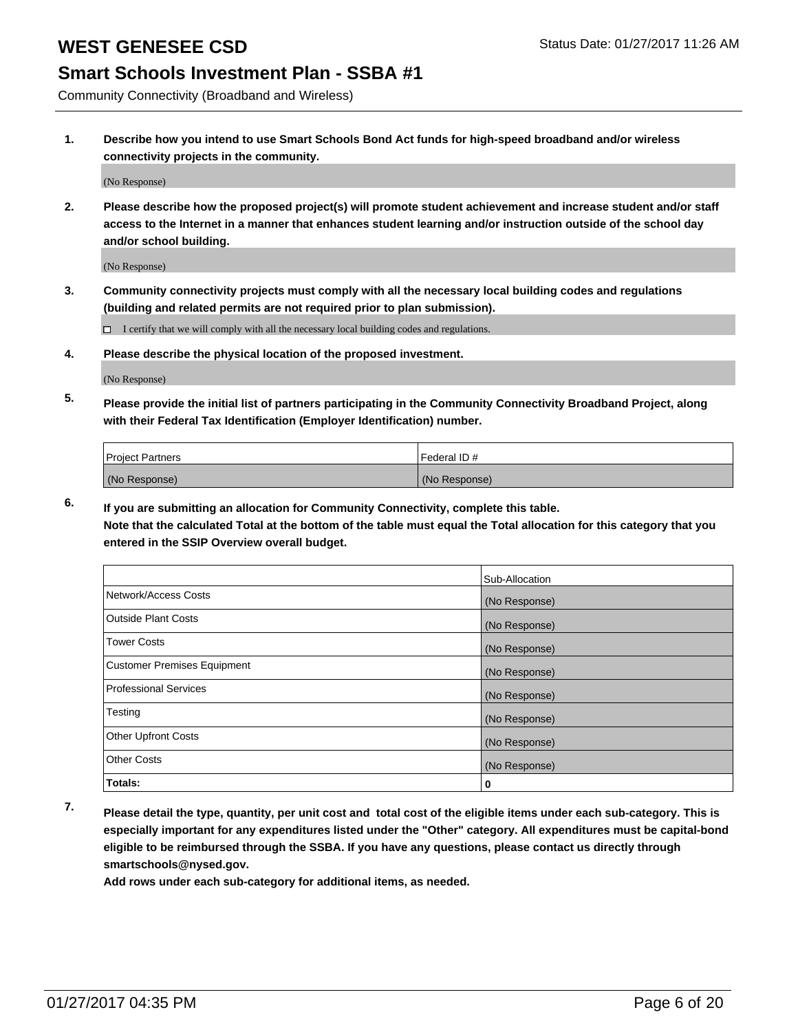#### **Smart Schools Investment Plan - SSBA #1**

Community Connectivity (Broadband and Wireless)

**1. Describe how you intend to use Smart Schools Bond Act funds for high-speed broadband and/or wireless connectivity projects in the community.**

(No Response)

**2. Please describe how the proposed project(s) will promote student achievement and increase student and/or staff access to the Internet in a manner that enhances student learning and/or instruction outside of the school day and/or school building.**

(No Response)

**3. Community connectivity projects must comply with all the necessary local building codes and regulations (building and related permits are not required prior to plan submission).**

 $\Box$  I certify that we will comply with all the necessary local building codes and regulations.

**4. Please describe the physical location of the proposed investment.**

(No Response)

**5. Please provide the initial list of partners participating in the Community Connectivity Broadband Project, along with their Federal Tax Identification (Employer Identification) number.**

| <b>Project Partners</b> | Federal ID#   |
|-------------------------|---------------|
| (No Response)           | (No Response) |

**6. If you are submitting an allocation for Community Connectivity, complete this table.**

**Note that the calculated Total at the bottom of the table must equal the Total allocation for this category that you entered in the SSIP Overview overall budget.**

|                                    | Sub-Allocation |
|------------------------------------|----------------|
| Network/Access Costs               | (No Response)  |
| <b>Outside Plant Costs</b>         | (No Response)  |
| <b>Tower Costs</b>                 | (No Response)  |
| <b>Customer Premises Equipment</b> | (No Response)  |
| Professional Services              | (No Response)  |
| Testing                            | (No Response)  |
| <b>Other Upfront Costs</b>         | (No Response)  |
| <b>Other Costs</b>                 | (No Response)  |
| Totals:                            | 0              |

**7. Please detail the type, quantity, per unit cost and total cost of the eligible items under each sub-category. This is especially important for any expenditures listed under the "Other" category. All expenditures must be capital-bond eligible to be reimbursed through the SSBA. If you have any questions, please contact us directly through smartschools@nysed.gov.**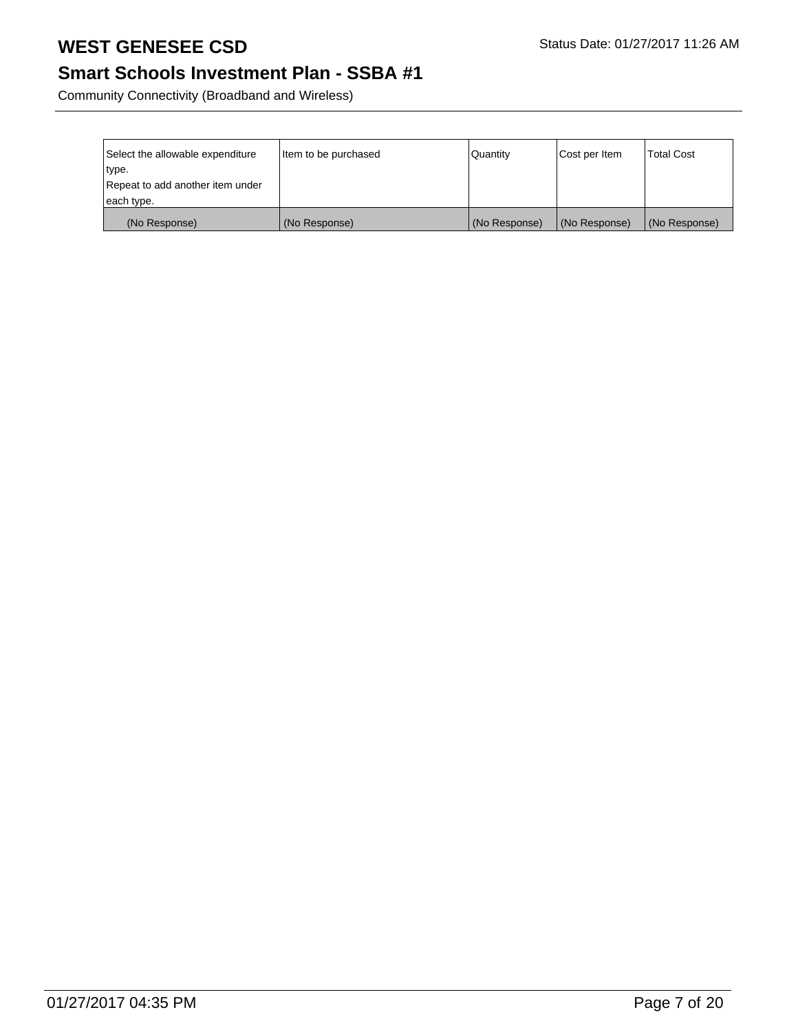### **Smart Schools Investment Plan - SSBA #1**

Community Connectivity (Broadband and Wireless)

| Select the allowable expenditure | Item to be purchased | Quantity      | Cost per Item | <b>Total Cost</b> |
|----------------------------------|----------------------|---------------|---------------|-------------------|
| type.                            |                      |               |               |                   |
| Repeat to add another item under |                      |               |               |                   |
| each type.                       |                      |               |               |                   |
| (No Response)                    | (No Response)        | (No Response) | (No Response) | (No Response)     |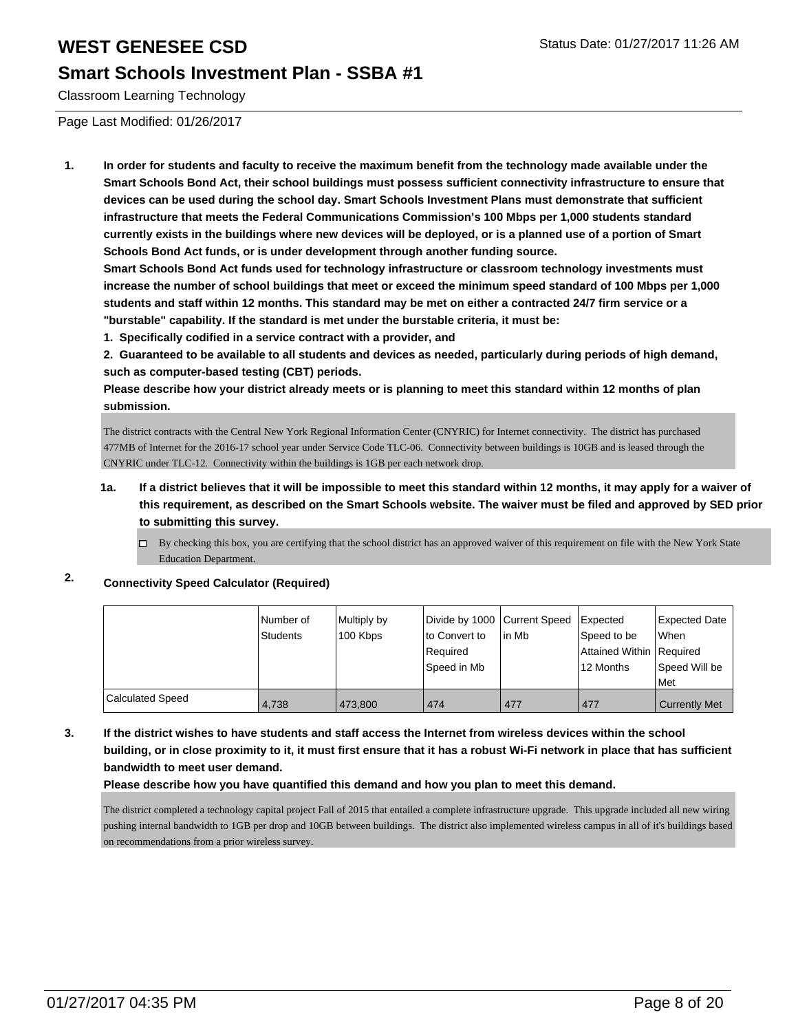### **Smart Schools Investment Plan - SSBA #1**

Classroom Learning Technology

Page Last Modified: 01/26/2017

**1. In order for students and faculty to receive the maximum benefit from the technology made available under the Smart Schools Bond Act, their school buildings must possess sufficient connectivity infrastructure to ensure that devices can be used during the school day. Smart Schools Investment Plans must demonstrate that sufficient infrastructure that meets the Federal Communications Commission's 100 Mbps per 1,000 students standard currently exists in the buildings where new devices will be deployed, or is a planned use of a portion of Smart Schools Bond Act funds, or is under development through another funding source.**

**Smart Schools Bond Act funds used for technology infrastructure or classroom technology investments must increase the number of school buildings that meet or exceed the minimum speed standard of 100 Mbps per 1,000 students and staff within 12 months. This standard may be met on either a contracted 24/7 firm service or a "burstable" capability. If the standard is met under the burstable criteria, it must be:**

**1. Specifically codified in a service contract with a provider, and**

**2. Guaranteed to be available to all students and devices as needed, particularly during periods of high demand, such as computer-based testing (CBT) periods.**

**Please describe how your district already meets or is planning to meet this standard within 12 months of plan submission.**

The district contracts with the Central New York Regional Information Center (CNYRIC) for Internet connectivity. The district has purchased 477MB of Internet for the 2016-17 school year under Service Code TLC-06. Connectivity between buildings is 10GB and is leased through the CNYRIC under TLC-12. Connectivity within the buildings is 1GB per each network drop.

- **1a. If a district believes that it will be impossible to meet this standard within 12 months, it may apply for a waiver of this requirement, as described on the Smart Schools website. The waiver must be filed and approved by SED prior to submitting this survey.**
	- $\Box$  By checking this box, you are certifying that the school district has an approved waiver of this requirement on file with the New York State Education Department.

#### **2. Connectivity Speed Calculator (Required)**

|                         | l Number of     | Multiply by | Divide by 1000 Current Speed |        | <b>I</b> Expected          | <b>Expected Date</b> |
|-------------------------|-----------------|-------------|------------------------------|--------|----------------------------|----------------------|
|                         | <b>Students</b> | 100 Kbps    | lto Convert to               | lin Mb | Speed to be                | When                 |
|                         |                 |             | Reauired                     |        | Attained Within   Required |                      |
|                         |                 |             | Speed in Mb                  |        | 12 Months                  | Speed Will be        |
|                         |                 |             |                              |        |                            | Met                  |
| <b>Calculated Speed</b> | 4.738           | 473.800     | 474                          | 477    | 477                        | <b>Currently Met</b> |

**3. If the district wishes to have students and staff access the Internet from wireless devices within the school building, or in close proximity to it, it must first ensure that it has a robust Wi-Fi network in place that has sufficient bandwidth to meet user demand.**

#### **Please describe how you have quantified this demand and how you plan to meet this demand.**

The district completed a technology capital project Fall of 2015 that entailed a complete infrastructure upgrade. This upgrade included all new wiring pushing internal bandwidth to 1GB per drop and 10GB between buildings. The district also implemented wireless campus in all of it's buildings based on recommendations from a prior wireless survey.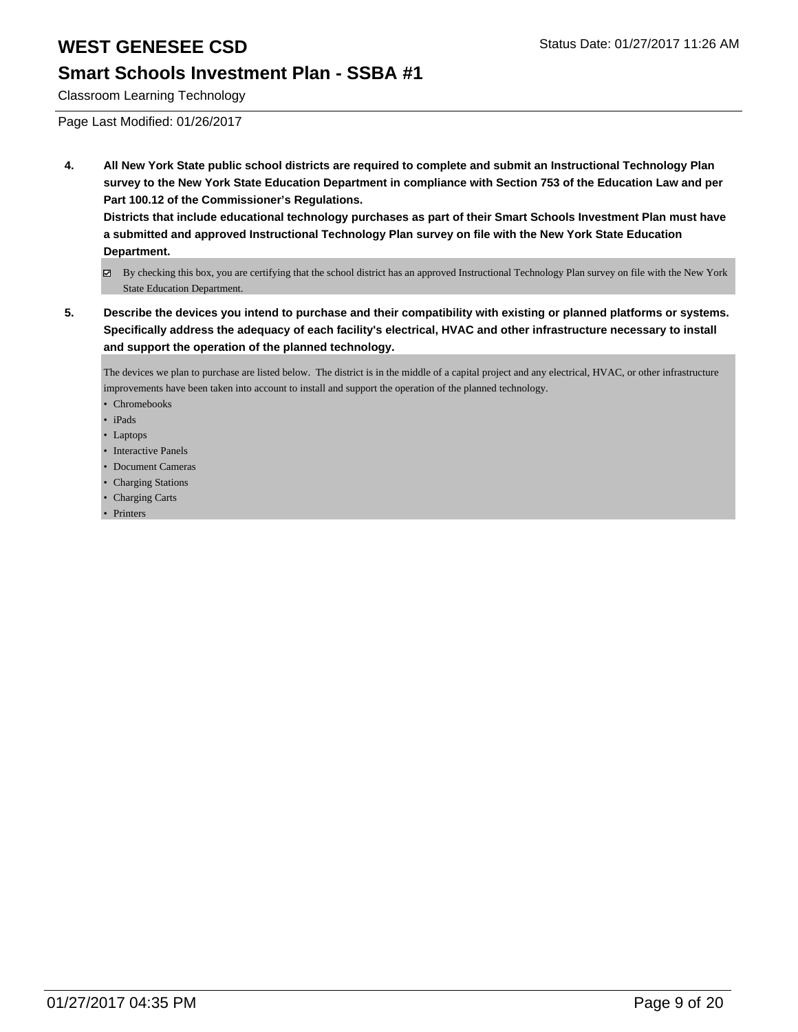#### **Smart Schools Investment Plan - SSBA #1**

Classroom Learning Technology

Page Last Modified: 01/26/2017

**4. All New York State public school districts are required to complete and submit an Instructional Technology Plan survey to the New York State Education Department in compliance with Section 753 of the Education Law and per Part 100.12 of the Commissioner's Regulations.**

**Districts that include educational technology purchases as part of their Smart Schools Investment Plan must have a submitted and approved Instructional Technology Plan survey on file with the New York State Education Department.**

- By checking this box, you are certifying that the school district has an approved Instructional Technology Plan survey on file with the New York State Education Department.
- **5. Describe the devices you intend to purchase and their compatibility with existing or planned platforms or systems. Specifically address the adequacy of each facility's electrical, HVAC and other infrastructure necessary to install and support the operation of the planned technology.**

The devices we plan to purchase are listed below. The district is in the middle of a capital project and any electrical, HVAC, or other infrastructure improvements have been taken into account to install and support the operation of the planned technology.

- Chromebooks
- iPads
- Laptops
- Interactive Panels
- Document Cameras
- Charging Stations
- Charging Carts
- Printers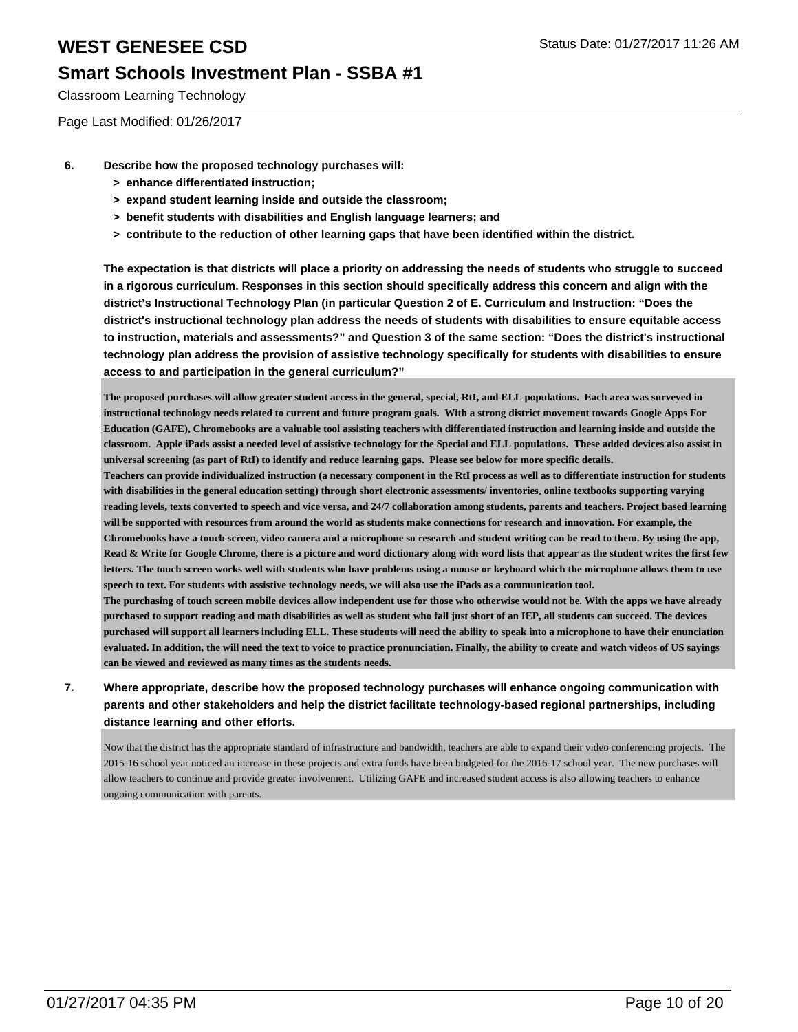#### **Smart Schools Investment Plan - SSBA #1**

Classroom Learning Technology

Page Last Modified: 01/26/2017

- **6. Describe how the proposed technology purchases will:**
	- **> enhance differentiated instruction;**
	- **> expand student learning inside and outside the classroom;**
	- **> benefit students with disabilities and English language learners; and**
	- **> contribute to the reduction of other learning gaps that have been identified within the district.**

**The expectation is that districts will place a priority on addressing the needs of students who struggle to succeed in a rigorous curriculum. Responses in this section should specifically address this concern and align with the district's Instructional Technology Plan (in particular Question 2 of E. Curriculum and Instruction: "Does the district's instructional technology plan address the needs of students with disabilities to ensure equitable access to instruction, materials and assessments?" and Question 3 of the same section: "Does the district's instructional technology plan address the provision of assistive technology specifically for students with disabilities to ensure access to and participation in the general curriculum?"**

**The proposed purchases will allow greater student access in the general, special, RtI, and ELL populations. Each area was surveyed in instructional technology needs related to current and future program goals. With a strong district movement towards Google Apps For Education (GAFE), Chromebooks are a valuable tool assisting teachers with differentiated instruction and learning inside and outside the classroom. Apple iPads assist a needed level of assistive technology for the Special and ELL populations. These added devices also assist in universal screening (as part of RtI) to identify and reduce learning gaps. Please see below for more specific details.**

**Teachers can provide individualized instruction (a necessary component in the RtI process as well as to differentiate instruction for students with disabilities in the general education setting) through short electronic assessments/ inventories, online textbooks supporting varying reading levels, texts converted to speech and vice versa, and 24/7 collaboration among students, parents and teachers. Project based learning will be supported with resources from around the world as students make connections for research and innovation. For example, the Chromebooks have a touch screen, video camera and a microphone so research and student writing can be read to them. By using the app, Read & Write for Google Chrome, there is a picture and word dictionary along with word lists that appear as the student writes the first few letters. The touch screen works well with students who have problems using a mouse or keyboard which the microphone allows them to use speech to text. For students with assistive technology needs, we will also use the iPads as a communication tool.**

**The purchasing of touch screen mobile devices allow independent use for those who otherwise would not be. With the apps we have already purchased to support reading and math disabilities as well as student who fall just short of an IEP, all students can succeed. The devices purchased will support all learners including ELL. These students will need the ability to speak into a microphone to have their enunciation evaluated. In addition, the will need the text to voice to practice pronunciation. Finally, the ability to create and watch videos of US sayings can be viewed and reviewed as many times as the students needs.**

#### **7. Where appropriate, describe how the proposed technology purchases will enhance ongoing communication with parents and other stakeholders and help the district facilitate technology-based regional partnerships, including distance learning and other efforts.**

Now that the district has the appropriate standard of infrastructure and bandwidth, teachers are able to expand their video conferencing projects. The 2015-16 school year noticed an increase in these projects and extra funds have been budgeted for the 2016-17 school year. The new purchases will allow teachers to continue and provide greater involvement. Utilizing GAFE and increased student access is also allowing teachers to enhance ongoing communication with parents.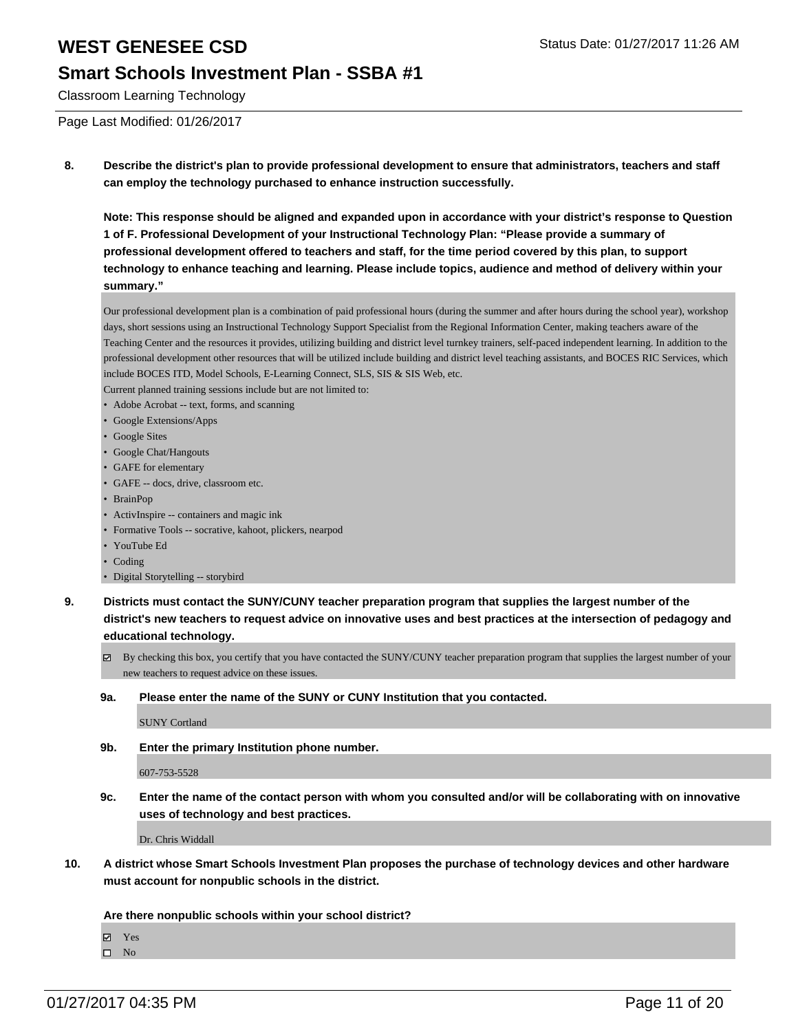### **Smart Schools Investment Plan - SSBA #1**

Classroom Learning Technology

Page Last Modified: 01/26/2017

**8. Describe the district's plan to provide professional development to ensure that administrators, teachers and staff can employ the technology purchased to enhance instruction successfully.**

**Note: This response should be aligned and expanded upon in accordance with your district's response to Question 1 of F. Professional Development of your Instructional Technology Plan: "Please provide a summary of professional development offered to teachers and staff, for the time period covered by this plan, to support technology to enhance teaching and learning. Please include topics, audience and method of delivery within your summary."**

Our professional development plan is a combination of paid professional hours (during the summer and after hours during the school year), workshop days, short sessions using an Instructional Technology Support Specialist from the Regional Information Center, making teachers aware of the Teaching Center and the resources it provides, utilizing building and district level turnkey trainers, self-paced independent learning. In addition to the professional development other resources that will be utilized include building and district level teaching assistants, and BOCES RIC Services, which include BOCES ITD, Model Schools, E-Learning Connect, SLS, SIS & SIS Web, etc.

Current planned training sessions include but are not limited to:

- Adobe Acrobat -- text, forms, and scanning
- Google Extensions/Apps
- Google Sites
- Google Chat/Hangouts
- GAFE for elementary
- GAFE -- docs, drive, classroom etc.
- BrainPop
- ActivInspire -- containers and magic ink
- Formative Tools -- socrative, kahoot, plickers, nearpod
- YouTube Ed
- Coding
- Digital Storytelling -- storybird
- **9. Districts must contact the SUNY/CUNY teacher preparation program that supplies the largest number of the district's new teachers to request advice on innovative uses and best practices at the intersection of pedagogy and educational technology.**
	- $\boxtimes$  By checking this box, you certify that you have contacted the SUNY/CUNY teacher preparation program that supplies the largest number of your new teachers to request advice on these issues.
	- **9a. Please enter the name of the SUNY or CUNY Institution that you contacted.**

SUNY Cortland

**9b. Enter the primary Institution phone number.**

607-753-5528

**9c. Enter the name of the contact person with whom you consulted and/or will be collaborating with on innovative uses of technology and best practices.**

Dr. Chris Widdall

**10. A district whose Smart Schools Investment Plan proposes the purchase of technology devices and other hardware must account for nonpublic schools in the district.**

#### **Are there nonpublic schools within your school district?**

Yes

 $\square$  No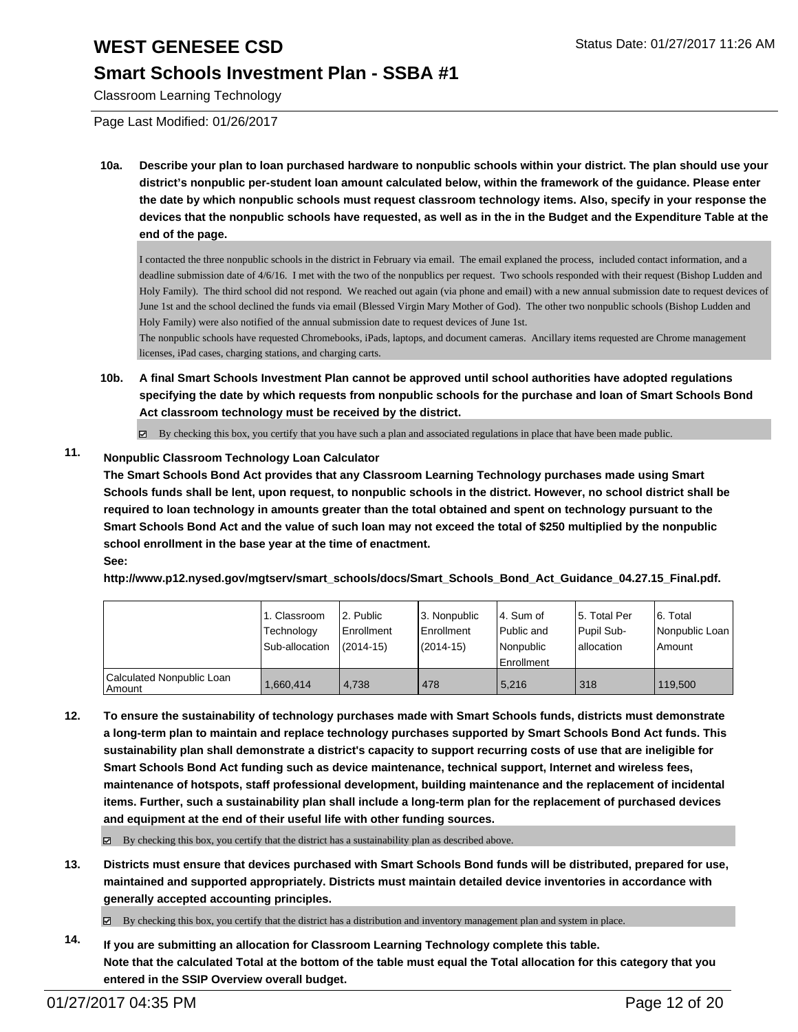#### **Smart Schools Investment Plan - SSBA #1**

Classroom Learning Technology

Page Last Modified: 01/26/2017

**10a. Describe your plan to loan purchased hardware to nonpublic schools within your district. The plan should use your district's nonpublic per-student loan amount calculated below, within the framework of the guidance. Please enter the date by which nonpublic schools must request classroom technology items. Also, specify in your response the devices that the nonpublic schools have requested, as well as in the in the Budget and the Expenditure Table at the end of the page.**

I contacted the three nonpublic schools in the district in February via email. The email explaned the process, included contact information, and a deadline submission date of 4/6/16. I met with the two of the nonpublics per request. Two schools responded with their request (Bishop Ludden and Holy Family). The third school did not respond. We reached out again (via phone and email) with a new annual submission date to request devices of June 1st and the school declined the funds via email (Blessed Virgin Mary Mother of God). The other two nonpublic schools (Bishop Ludden and Holy Family) were also notified of the annual submission date to request devices of June 1st.

The nonpublic schools have requested Chromebooks, iPads, laptops, and document cameras. Ancillary items requested are Chrome management licenses, iPad cases, charging stations, and charging carts.

**10b. A final Smart Schools Investment Plan cannot be approved until school authorities have adopted regulations specifying the date by which requests from nonpublic schools for the purchase and loan of Smart Schools Bond Act classroom technology must be received by the district.**

 $\boxtimes$  By checking this box, you certify that you have such a plan and associated regulations in place that have been made public.

#### **11. Nonpublic Classroom Technology Loan Calculator**

**The Smart Schools Bond Act provides that any Classroom Learning Technology purchases made using Smart Schools funds shall be lent, upon request, to nonpublic schools in the district. However, no school district shall be required to loan technology in amounts greater than the total obtained and spent on technology pursuant to the Smart Schools Bond Act and the value of such loan may not exceed the total of \$250 multiplied by the nonpublic school enrollment in the base year at the time of enactment. See:**

**http://www.p12.nysed.gov/mgtserv/smart\_schools/docs/Smart\_Schools\_Bond\_Act\_Guidance\_04.27.15\_Final.pdf.**

|                                     | 1. Classroom<br>Technology<br>Sub-allocation | 2. Public<br>Enrollment<br>(2014-15) | 3. Nonpublic<br><b>Enrollment</b><br>(2014-15) | l 4. Sum of<br>Public and<br>Nonpublic<br><b>Enrollment</b> | 15. Total Per<br>Pupil Sub-<br>Iallocation | 6. Total<br>Nonpublic Loan<br>Amount |
|-------------------------------------|----------------------------------------------|--------------------------------------|------------------------------------------------|-------------------------------------------------------------|--------------------------------------------|--------------------------------------|
| Calculated Nonpublic Loan<br>Amount | ,660,414                                     | 4.738                                | 478                                            | 5.216                                                       | 318                                        | 119,500                              |

**12. To ensure the sustainability of technology purchases made with Smart Schools funds, districts must demonstrate a long-term plan to maintain and replace technology purchases supported by Smart Schools Bond Act funds. This sustainability plan shall demonstrate a district's capacity to support recurring costs of use that are ineligible for Smart Schools Bond Act funding such as device maintenance, technical support, Internet and wireless fees, maintenance of hotspots, staff professional development, building maintenance and the replacement of incidental items. Further, such a sustainability plan shall include a long-term plan for the replacement of purchased devices and equipment at the end of their useful life with other funding sources.**

 $\boxtimes$  By checking this box, you certify that the district has a sustainability plan as described above.

**13. Districts must ensure that devices purchased with Smart Schools Bond funds will be distributed, prepared for use, maintained and supported appropriately. Districts must maintain detailed device inventories in accordance with generally accepted accounting principles.**

By checking this box, you certify that the district has a distribution and inventory management plan and system in place.

**14. If you are submitting an allocation for Classroom Learning Technology complete this table. Note that the calculated Total at the bottom of the table must equal the Total allocation for this category that you entered in the SSIP Overview overall budget.**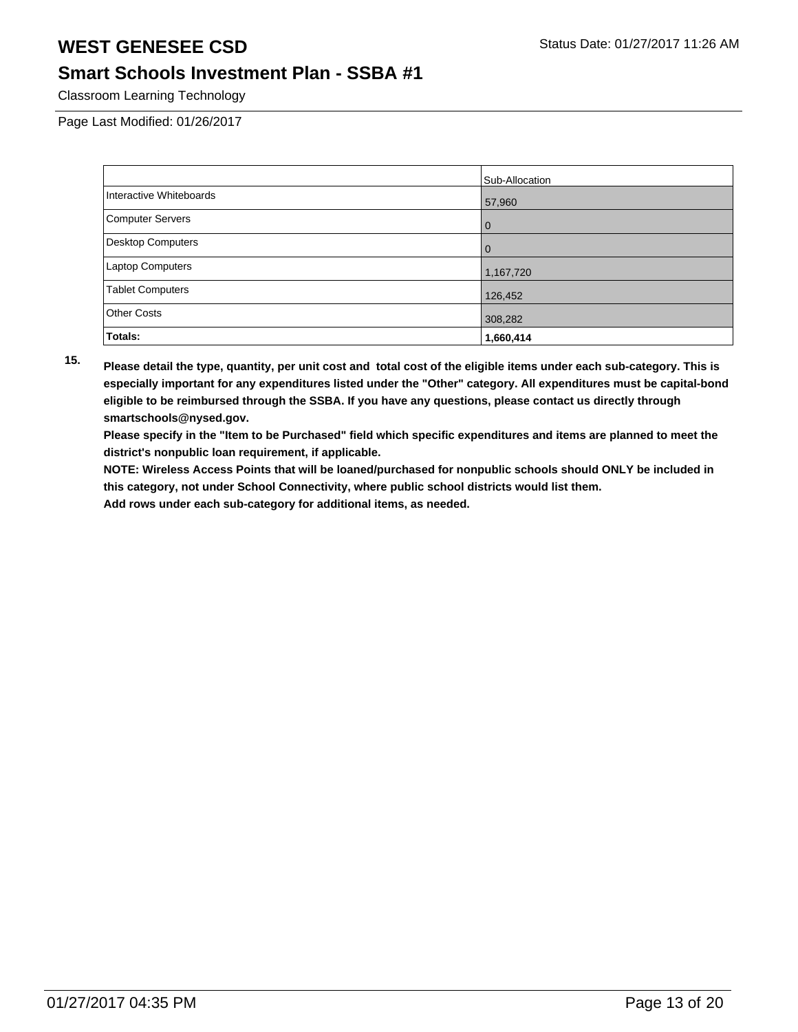### **Smart Schools Investment Plan - SSBA #1**

Classroom Learning Technology

Page Last Modified: 01/26/2017

|                          | Sub-Allocation |
|--------------------------|----------------|
| Interactive Whiteboards  | 57,960         |
| <b>Computer Servers</b>  | $\Omega$       |
| <b>Desktop Computers</b> | $\Omega$       |
| Laptop Computers         | 1,167,720      |
| <b>Tablet Computers</b>  | 126,452        |
| <b>Other Costs</b>       | 308,282        |
| Totals:                  | 1,660,414      |

**15. Please detail the type, quantity, per unit cost and total cost of the eligible items under each sub-category. This is especially important for any expenditures listed under the "Other" category. All expenditures must be capital-bond eligible to be reimbursed through the SSBA. If you have any questions, please contact us directly through smartschools@nysed.gov.**

**Please specify in the "Item to be Purchased" field which specific expenditures and items are planned to meet the district's nonpublic loan requirement, if applicable.**

**NOTE: Wireless Access Points that will be loaned/purchased for nonpublic schools should ONLY be included in this category, not under School Connectivity, where public school districts would list them.**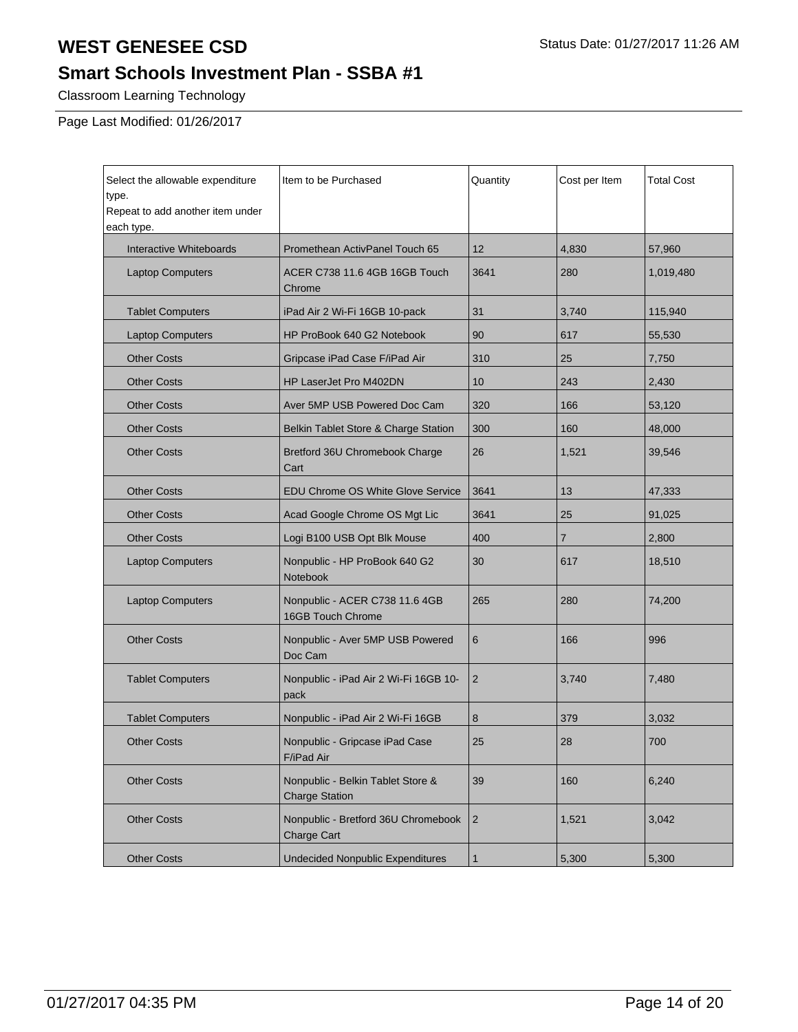### **Smart Schools Investment Plan - SSBA #1**

Classroom Learning Technology

Page Last Modified: 01/26/2017

| Select the allowable expenditure<br>type.<br>Repeat to add another item under<br>each type. | Item to be Purchased                                       | Quantity       | Cost per Item  | <b>Total Cost</b> |
|---------------------------------------------------------------------------------------------|------------------------------------------------------------|----------------|----------------|-------------------|
| Interactive Whiteboards                                                                     | Promethean ActivPanel Touch 65                             | 12             | 4,830          | 57,960            |
| <b>Laptop Computers</b>                                                                     | ACER C738 11.6 4GB 16GB Touch<br>Chrome                    | 3641           | 280            | 1,019,480         |
| <b>Tablet Computers</b>                                                                     | iPad Air 2 Wi-Fi 16GB 10-pack                              | 31             | 3,740          | 115,940           |
| <b>Laptop Computers</b>                                                                     | HP ProBook 640 G2 Notebook                                 | 90             | 617            | 55,530            |
| <b>Other Costs</b>                                                                          | Gripcase iPad Case F/iPad Air                              | 310            | 25             | 7,750             |
| <b>Other Costs</b>                                                                          | HP LaserJet Pro M402DN                                     | 10             | 243            | 2,430             |
| <b>Other Costs</b>                                                                          | Aver 5MP USB Powered Doc Cam                               | 320            | 166            | 53,120            |
| <b>Other Costs</b>                                                                          | Belkin Tablet Store & Charge Station                       | 300            | 160            | 48,000            |
| <b>Other Costs</b>                                                                          | Bretford 36U Chromebook Charge<br>Cart                     | 26             | 1,521          | 39,546            |
| <b>Other Costs</b>                                                                          | <b>EDU Chrome OS White Glove Service</b>                   | 3641           | 13             | 47,333            |
| <b>Other Costs</b>                                                                          | Acad Google Chrome OS Mgt Lic                              | 3641           | 25             | 91,025            |
| <b>Other Costs</b>                                                                          | Logi B100 USB Opt Blk Mouse                                | 400            | $\overline{7}$ | 2,800             |
| <b>Laptop Computers</b>                                                                     | Nonpublic - HP ProBook 640 G2<br>Notebook                  | 30             | 617            | 18,510            |
| <b>Laptop Computers</b>                                                                     | Nonpublic - ACER C738 11.6 4GB<br>16GB Touch Chrome        | 265            | 280            | 74,200            |
| <b>Other Costs</b>                                                                          | Nonpublic - Aver 5MP USB Powered<br>Doc Cam                | 6              | 166            | 996               |
| <b>Tablet Computers</b>                                                                     | Nonpublic - iPad Air 2 Wi-Fi 16GB 10-<br>pack              | $\overline{2}$ | 3,740          | 7,480             |
| <b>Tablet Computers</b>                                                                     | Nonpublic - iPad Air 2 Wi-Fi 16GB                          | 8              | 379            | 3,032             |
| <b>Other Costs</b>                                                                          | Nonpublic - Gripcase iPad Case<br>F/iPad Air               | 25             | 28             | 700               |
| <b>Other Costs</b>                                                                          | Nonpublic - Belkin Tablet Store &<br><b>Charge Station</b> | 39             | 160            | 6,240             |
| <b>Other Costs</b>                                                                          | Nonpublic - Bretford 36U Chromebook<br>Charge Cart         | $\sqrt{2}$     | 1,521          | 3,042             |
| <b>Other Costs</b>                                                                          | <b>Undecided Nonpublic Expenditures</b>                    | $\mathbf{1}$   | 5,300          | 5,300             |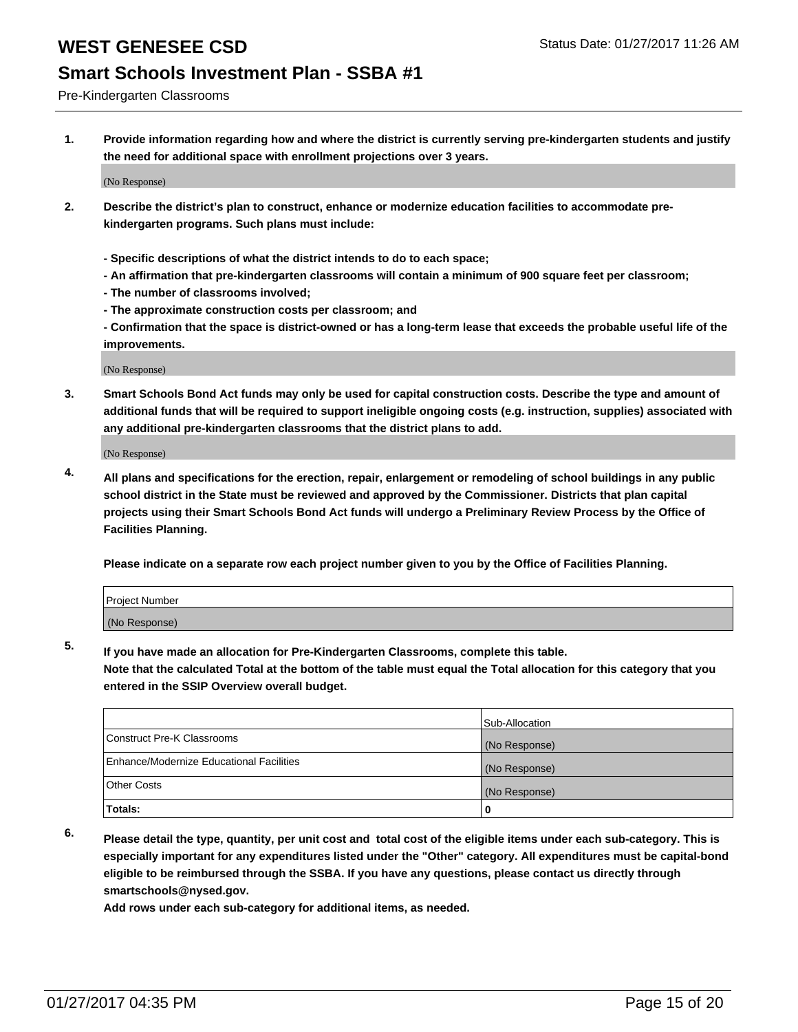### **Smart Schools Investment Plan - SSBA #1**

Pre-Kindergarten Classrooms

**1. Provide information regarding how and where the district is currently serving pre-kindergarten students and justify the need for additional space with enrollment projections over 3 years.**

(No Response)

- **2. Describe the district's plan to construct, enhance or modernize education facilities to accommodate prekindergarten programs. Such plans must include:**
	- **Specific descriptions of what the district intends to do to each space;**
	- **An affirmation that pre-kindergarten classrooms will contain a minimum of 900 square feet per classroom;**
	- **The number of classrooms involved;**
	- **The approximate construction costs per classroom; and**
	- **Confirmation that the space is district-owned or has a long-term lease that exceeds the probable useful life of the improvements.**

(No Response)

**3. Smart Schools Bond Act funds may only be used for capital construction costs. Describe the type and amount of additional funds that will be required to support ineligible ongoing costs (e.g. instruction, supplies) associated with any additional pre-kindergarten classrooms that the district plans to add.**

(No Response)

**4. All plans and specifications for the erection, repair, enlargement or remodeling of school buildings in any public school district in the State must be reviewed and approved by the Commissioner. Districts that plan capital projects using their Smart Schools Bond Act funds will undergo a Preliminary Review Process by the Office of Facilities Planning.**

**Please indicate on a separate row each project number given to you by the Office of Facilities Planning.**

| <b>Project Number</b> |  |
|-----------------------|--|
| (No Response)         |  |

**5. If you have made an allocation for Pre-Kindergarten Classrooms, complete this table.**

**Note that the calculated Total at the bottom of the table must equal the Total allocation for this category that you entered in the SSIP Overview overall budget.**

|                                          | Sub-Allocation |
|------------------------------------------|----------------|
| Construct Pre-K Classrooms               | (No Response)  |
| Enhance/Modernize Educational Facilities | (No Response)  |
| Other Costs                              | (No Response)  |
| Totals:                                  | $\mathbf{0}$   |

**6. Please detail the type, quantity, per unit cost and total cost of the eligible items under each sub-category. This is especially important for any expenditures listed under the "Other" category. All expenditures must be capital-bond eligible to be reimbursed through the SSBA. If you have any questions, please contact us directly through smartschools@nysed.gov.**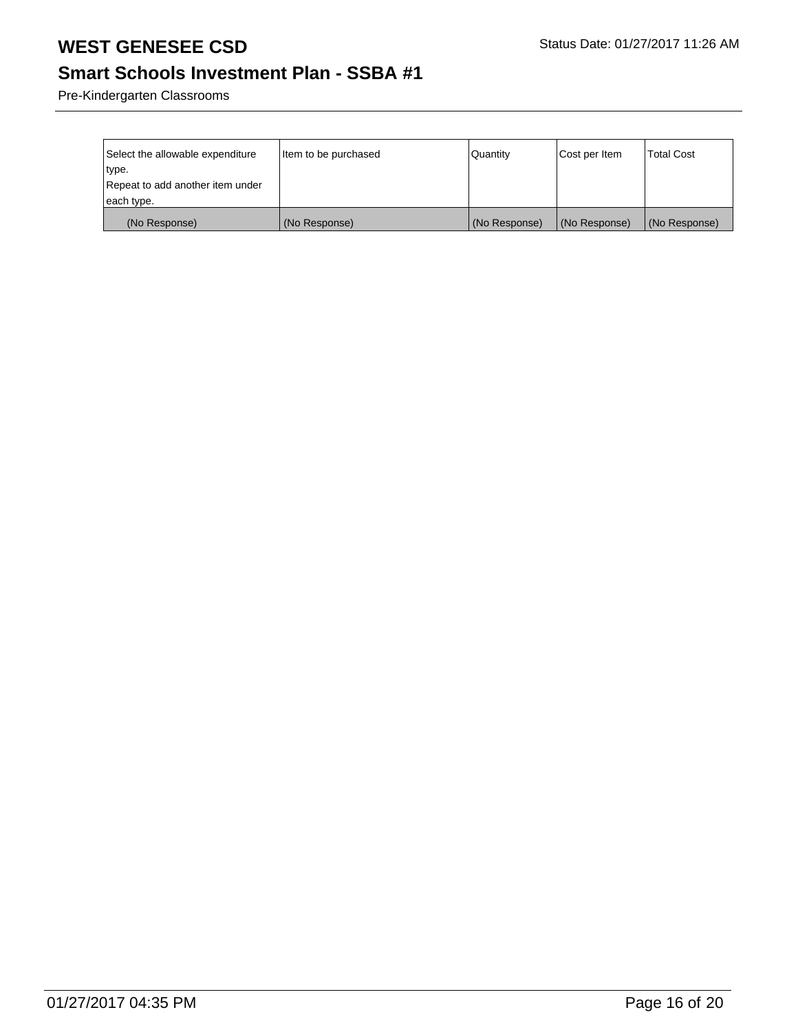### **Smart Schools Investment Plan - SSBA #1**

Pre-Kindergarten Classrooms

| Select the allowable expenditure | Item to be purchased | Quantity      | Cost per Item | <b>Total Cost</b> |
|----------------------------------|----------------------|---------------|---------------|-------------------|
| type.                            |                      |               |               |                   |
| Repeat to add another item under |                      |               |               |                   |
| each type.                       |                      |               |               |                   |
| (No Response)                    | (No Response)        | (No Response) | (No Response) | (No Response)     |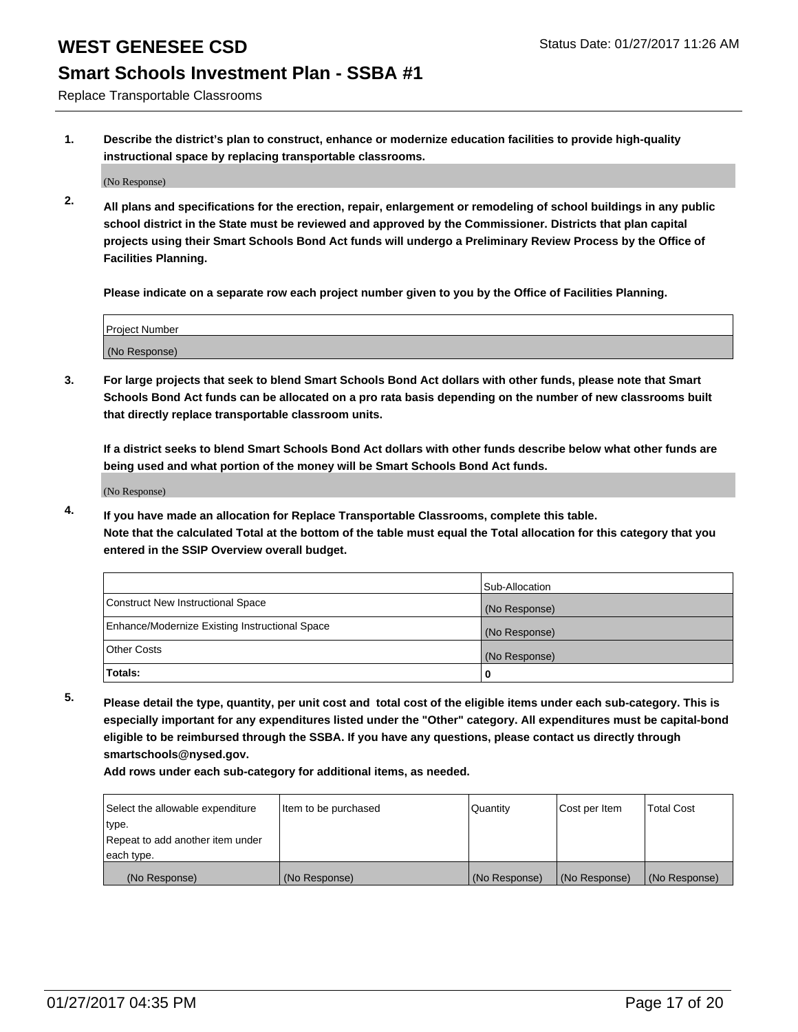### **Smart Schools Investment Plan - SSBA #1**

Replace Transportable Classrooms

**1. Describe the district's plan to construct, enhance or modernize education facilities to provide high-quality instructional space by replacing transportable classrooms.**

(No Response)

**2. All plans and specifications for the erection, repair, enlargement or remodeling of school buildings in any public school district in the State must be reviewed and approved by the Commissioner. Districts that plan capital projects using their Smart Schools Bond Act funds will undergo a Preliminary Review Process by the Office of Facilities Planning.**

**Please indicate on a separate row each project number given to you by the Office of Facilities Planning.**

| Project Number |  |
|----------------|--|
|                |  |
| (No Response)  |  |

**3. For large projects that seek to blend Smart Schools Bond Act dollars with other funds, please note that Smart Schools Bond Act funds can be allocated on a pro rata basis depending on the number of new classrooms built that directly replace transportable classroom units.**

**If a district seeks to blend Smart Schools Bond Act dollars with other funds describe below what other funds are being used and what portion of the money will be Smart Schools Bond Act funds.**

(No Response)

**4. If you have made an allocation for Replace Transportable Classrooms, complete this table. Note that the calculated Total at the bottom of the table must equal the Total allocation for this category that you entered in the SSIP Overview overall budget.**

|                                                | Sub-Allocation |
|------------------------------------------------|----------------|
| Construct New Instructional Space              | (No Response)  |
| Enhance/Modernize Existing Instructional Space | (No Response)  |
| Other Costs                                    | (No Response)  |
| Totals:                                        | 0              |

**5. Please detail the type, quantity, per unit cost and total cost of the eligible items under each sub-category. This is especially important for any expenditures listed under the "Other" category. All expenditures must be capital-bond eligible to be reimbursed through the SSBA. If you have any questions, please contact us directly through smartschools@nysed.gov.**

| Select the allowable expenditure | Item to be purchased | Quantity      | Cost per Item | <b>Total Cost</b> |
|----------------------------------|----------------------|---------------|---------------|-------------------|
| type.                            |                      |               |               |                   |
| Repeat to add another item under |                      |               |               |                   |
| each type.                       |                      |               |               |                   |
| (No Response)                    | (No Response)        | (No Response) | (No Response) | (No Response)     |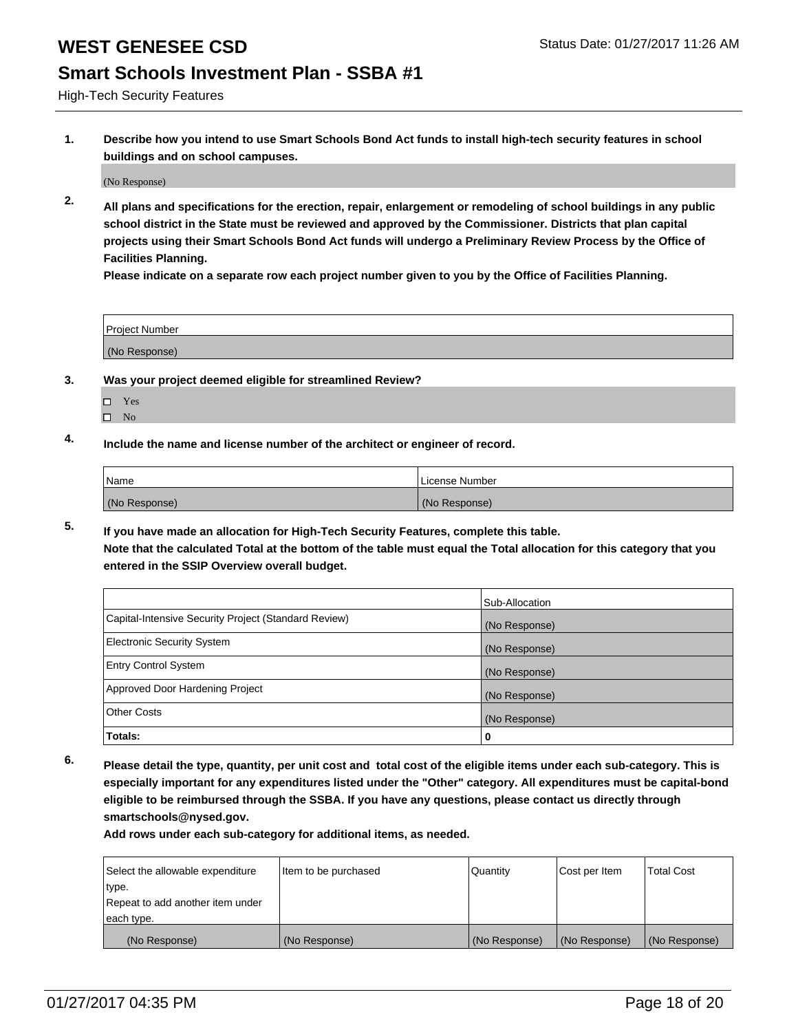### **Smart Schools Investment Plan - SSBA #1**

High-Tech Security Features

**1. Describe how you intend to use Smart Schools Bond Act funds to install high-tech security features in school buildings and on school campuses.**

(No Response)

**2. All plans and specifications for the erection, repair, enlargement or remodeling of school buildings in any public school district in the State must be reviewed and approved by the Commissioner. Districts that plan capital projects using their Smart Schools Bond Act funds will undergo a Preliminary Review Process by the Office of Facilities Planning.** 

**Please indicate on a separate row each project number given to you by the Office of Facilities Planning.**

| Project Number |  |
|----------------|--|
| (No Response)  |  |

- **3. Was your project deemed eligible for streamlined Review?**
	- Yes
	- $\square$  No
- **4. Include the name and license number of the architect or engineer of record.**

| Name          | License Number |
|---------------|----------------|
| (No Response) | (No Response)  |

**5. If you have made an allocation for High-Tech Security Features, complete this table. Note that the calculated Total at the bottom of the table must equal the Total allocation for this category that you entered in the SSIP Overview overall budget.**

|                                                      | Sub-Allocation |
|------------------------------------------------------|----------------|
| Capital-Intensive Security Project (Standard Review) | (No Response)  |
| <b>Electronic Security System</b>                    | (No Response)  |
| <b>Entry Control System</b>                          | (No Response)  |
| Approved Door Hardening Project                      | (No Response)  |
| <b>Other Costs</b>                                   | (No Response)  |
| Totals:                                              | 0              |

**6. Please detail the type, quantity, per unit cost and total cost of the eligible items under each sub-category. This is especially important for any expenditures listed under the "Other" category. All expenditures must be capital-bond eligible to be reimbursed through the SSBA. If you have any questions, please contact us directly through smartschools@nysed.gov.**

| Select the allowable expenditure | Item to be purchased | Quantity      | Cost per Item | Total Cost    |
|----------------------------------|----------------------|---------------|---------------|---------------|
| type.                            |                      |               |               |               |
| Repeat to add another item under |                      |               |               |               |
| each type.                       |                      |               |               |               |
| (No Response)                    | (No Response)        | (No Response) | (No Response) | (No Response) |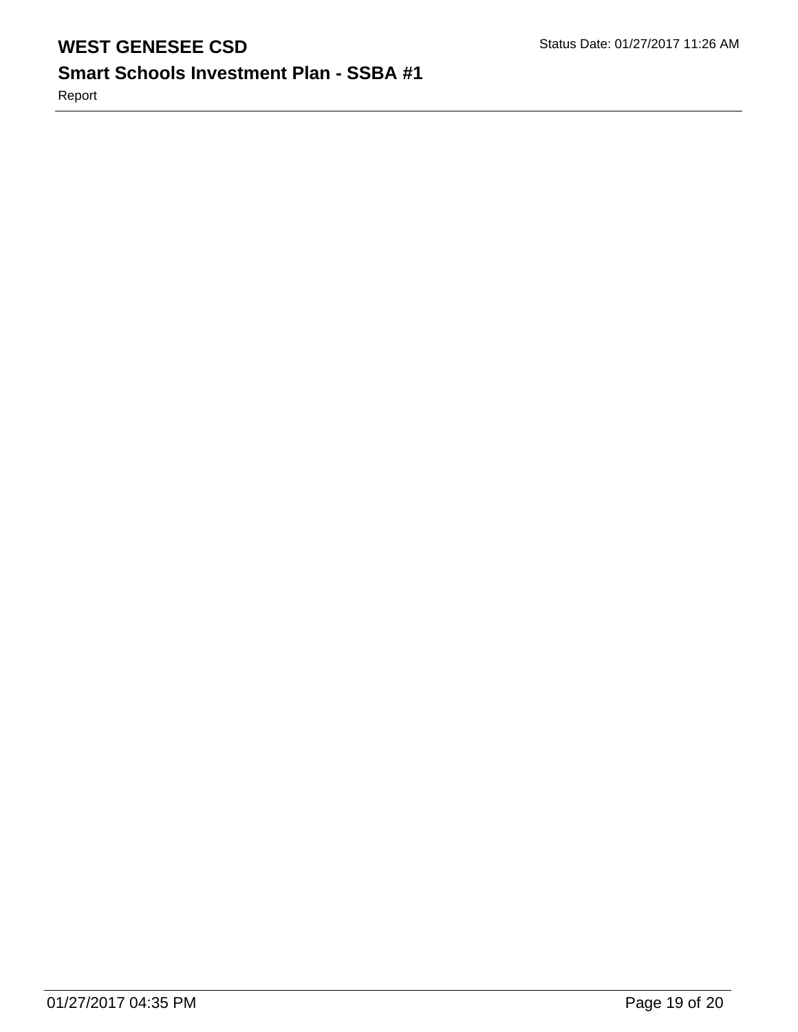## **Smart Schools Investment Plan - SSBA #1**

Report